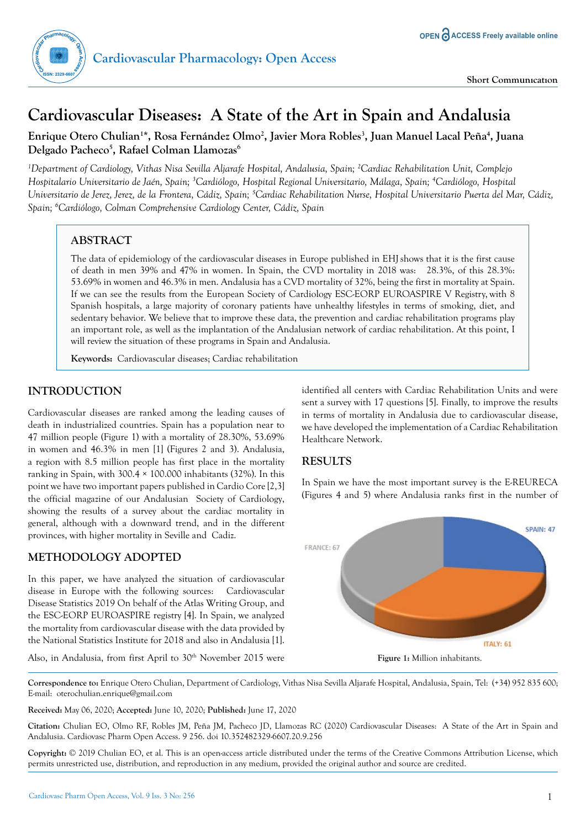

# **Cardiovascular Diseases: A State of the Art in Spain and Andalusia**

**Enrique Otero Chulian1 \*, Rosa Fernández Olmo2 , Javier Mora Robles3 , Juan Manuel Lacal Peña4 , Juana Delgado Pacheco5 , Rafael Colman Llamozas6**

*1 Department of Cardiology, Vithas Nisa Sevilla Aljarafe Hospital, Andalusia, Spain; 2 Cardiac Rehabilitation Unit, Complejo Hospitalario Universitario de Jaén, Spain; 3 Cardiólogo, Hospital Regional Universitario, Málaga, Spain; 4 Cardiólogo, Hospital*  Universitario de Jerez, Jerez, de la Frontera, Cádiz, Spain; <sup>5</sup>Cardiac Rehabilitation Nurse, Hospital Universitario Puerta del Mar, Cádiz, *Spain; 6 Cardiólogo, Colman Comprehensive Cardiology Center, Cádiz, Spain*

# **ABSTRACT**

The data of epidemiology of the cardiovascular diseases in Europe published in EHJshows that it is the first cause of death in men 39% and 47% in women. In Spain, the CVD mortality in 2018 was: 28.3%, of this 28.3%: 53.69% in women and 46.3% in men. Andalusia has a CVD mortality of 32%, being the first in mortality at Spain. If we can see the results from the European Society of Cardiology ESC-EORP EUROASPIRE V Registry, with 8 Spanish hospitals, a large majority of coronary patients have unhealthy lifestyles in terms of smoking, diet, and sedentary behavior. We believe that to improve these data, the prevention and cardiac rehabilitation programs play an important role, as well as the implantation of the Andalusian network of cardiac rehabilitation. At this point, I will review the situation of these programs in Spain and Andalusia.

**Keywords:** Cardiovascular diseases; Cardiac rehabilitation

## **INTRODUCTION**

Cardiovascular diseases are ranked among the leading causes of death in industrialized countries. Spain has a population near to 47 million people (Figure 1) with a mortality of 28.30%, 53.69% in women and 46.3% in men [1] (Figures 2 and 3). Andalusia, a region with 8.5 million people has first place in the mortality ranking in Spain, with 300.4 × 100.000 inhabitants (32%). In this point we have two important papers published in Cardio Core [2,3] the official magazine of our Andalusian Society of Cardiology, showing the results of a survey about the cardiac mortality in general, although with a downward trend, and in the different provinces, with higher mortality in Seville and Cadiz.

## **METHODOLOGY ADOPTED**

In this paper, we have analyzed the situation of cardiovascular disease in Europe with the following sources: Cardiovascular Disease Statistics 2019 On behalf of the Atlas Writing Group, and the ESC-EORP EUROASPIRE registry [4]. In Spain, we analyzed the mortality from cardiovascular disease with the data provided by the National Statistics Institute for 2018 and also in Andalusia [1].

identified all centers with Cardiac Rehabilitation Units and were sent a survey with 17 questions [5]. Finally, to improve the results in terms of mortality in Andalusia due to cardiovascular disease, we have developed the implementation of a Cardiac Rehabilitation Healthcare Network.

# **RESULTS**

In Spain we have the most important survey is the E-REURECA (Figures 4 and 5) where Andalusia ranks first in the number of



Also, in Andalusia, from first April to 30<sup>th</sup> November 2015 were

**Correspondence to:** Enrique Otero Chulian, Department of Cardiology, Vithas Nisa Sevilla Aljarafe Hospital, Andalusia, Spain, Tel: (+34) 952 835 600; E-mail: oterochulian.enrique@gmail.com

**Received:** May 06, 2020; **Accepted:** June 10, 2020; **Published:** June 17, 2020

**Citation:** Chulian EO, Olmo RF, Robles JM, Peña JM, Pacheco JD, Llamozas RC (2020) Cardiovascular Diseases: A State of the Art in Spain and Andalusia. Cardiovasc Pharm Open Access. 9 256. doi 10.352482329-6607.20.9.256

**Copyright:** © 2019 Chulian EO, et al. This is an open-access article distributed under the terms of the Creative Commons Attribution License, which permits unrestricted use, distribution, and reproduction in any medium, provided the original author and source are credited.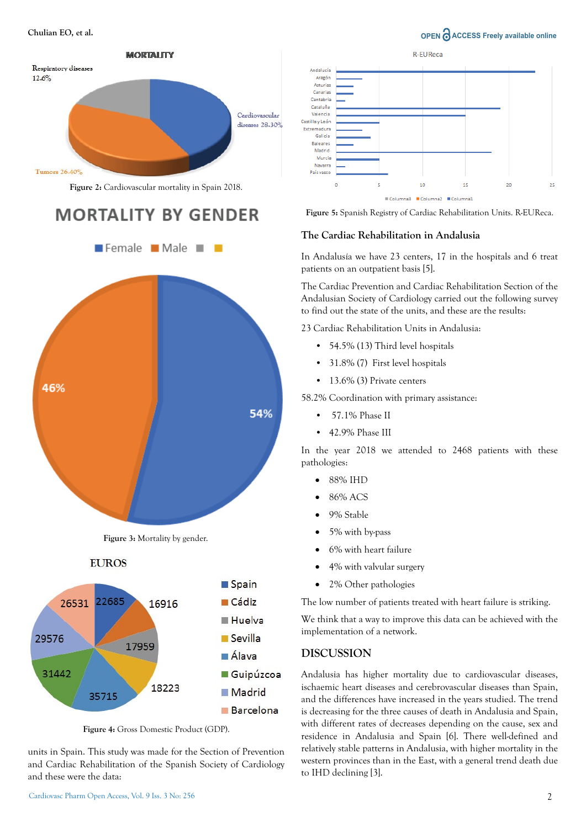**Chulian EO, et al. OPEN**  $\bigcap_{n=1}^{\infty} A C C E S S$  Freely available online



**Figure 2:** Cardiovascular mortality in Spain 2018.

# **MORTALITY BY GENDER**



**Figure 3:** Mortality by gender.





**Figure 4:** Gross Domestic Product (GDP).

units in Spain. This study was made for the Section of Prevention and Cardiac Rehabilitation of the Spanish Society of Cardiology and these were the data:



**Figure 5:** Spanish Registry of Cardiac Rehabilitation Units. R-EUReca.

#### **The Cardiac Rehabilitation in Andalusia**

In Andalusía we have 23 centers, 17 in the hospitals and 6 treat patients on an outpatient basis [5].

The Cardiac Prevention and Cardiac Rehabilitation Section of the Andalusian Society of Cardiology carried out the following survey to find out the state of the units, and these are the results:

23 Cardiac Rehabilitation Units in Andalusia:

- 54.5% (13) Third level hospitals
- 31.8% (7) First level hospitals
- 13.6% (3) Private centers

58.2% Coordination with primary assistance:

- 57.1% Phase II
- 42.9% Phase III

In the year 2018 we attended to 2468 patients with these pathologies:

- 88% IHD
- 86% ACS
- 9% Stable
- 5% with by-pass
- 6% with heart failure
- 4% with valvular surgery
- 2% Other pathologies

The low number of patients treated with heart failure is striking.

We think that a way to improve this data can be achieved with the implementation of a network.

#### **DISCUSSION**

Andalusia has higher mortality due to cardiovascular diseases, ischaemic heart diseases and cerebrovascular diseases than Spain, and the differences have increased in the years studied. The trend is decreasing for the three causes of death in Andalusia and Spain, with different rates of decreases depending on the cause, sex and residence in Andalusia and Spain [6]. There well-defined and relatively stable patterns in Andalusia, with higher mortality in the western provinces than in the East, with a general trend death due to IHD declining [3].

#### 2